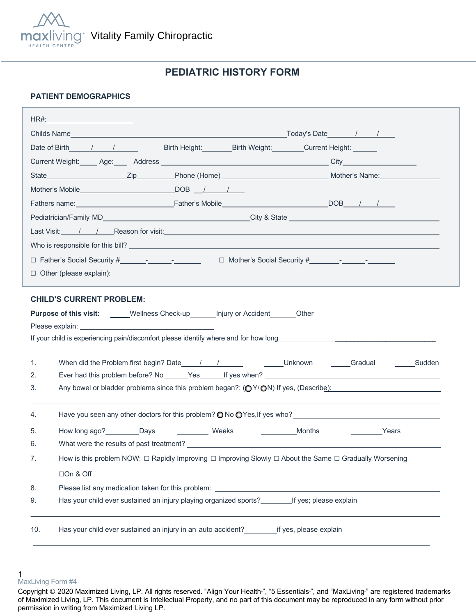

# **PEDIATRIC HISTORY FORM**

## **PATIENT DEMOGRAPHICS**

|                                                                                                                                                                                                                                      | HR#:___________________________                                                                        |  |  |  |
|--------------------------------------------------------------------------------------------------------------------------------------------------------------------------------------------------------------------------------------|--------------------------------------------------------------------------------------------------------|--|--|--|
|                                                                                                                                                                                                                                      |                                                                                                        |  |  |  |
|                                                                                                                                                                                                                                      | Date of Birth 1 1<br>Birth Height: Birth Weight: Current Height: Current Beight:                       |  |  |  |
|                                                                                                                                                                                                                                      |                                                                                                        |  |  |  |
|                                                                                                                                                                                                                                      |                                                                                                        |  |  |  |
|                                                                                                                                                                                                                                      |                                                                                                        |  |  |  |
|                                                                                                                                                                                                                                      |                                                                                                        |  |  |  |
|                                                                                                                                                                                                                                      |                                                                                                        |  |  |  |
| Last Visit: /// Reason for visit: <u>Alexander Control Control Control Control Control Control Control Control Control Control Control Control Control Control Control Control Control Control Control Control Control Control C</u> |                                                                                                        |  |  |  |
|                                                                                                                                                                                                                                      |                                                                                                        |  |  |  |
|                                                                                                                                                                                                                                      |                                                                                                        |  |  |  |
| $\Box$ Other (please explain):                                                                                                                                                                                                       |                                                                                                        |  |  |  |
|                                                                                                                                                                                                                                      |                                                                                                        |  |  |  |
|                                                                                                                                                                                                                                      | <b>CHILD'S CURRENT PROBLEM:</b>                                                                        |  |  |  |
| <b>Purpose of this visit:</b> _____Wellness Check-up_______ Injury or Accident_______Other                                                                                                                                           |                                                                                                        |  |  |  |
|                                                                                                                                                                                                                                      |                                                                                                        |  |  |  |
|                                                                                                                                                                                                                                      |                                                                                                        |  |  |  |
| 1.                                                                                                                                                                                                                                   |                                                                                                        |  |  |  |
| 2.                                                                                                                                                                                                                                   |                                                                                                        |  |  |  |
| 3.                                                                                                                                                                                                                                   | Any bowel or bladder problems since this problem began?: (OY/ON) If yes, (Describe):                   |  |  |  |
|                                                                                                                                                                                                                                      |                                                                                                        |  |  |  |
| 4.                                                                                                                                                                                                                                   | Have you seen any other doctors for this problem? $\bigcirc$ No $\bigcirc$ Yes, If yes who?            |  |  |  |
| 5.                                                                                                                                                                                                                                   | How long ago? Days<br>Weeks<br>Months<br><b>Example 2</b> Years                                        |  |  |  |
| 6.                                                                                                                                                                                                                                   |                                                                                                        |  |  |  |
| 7.                                                                                                                                                                                                                                   | How is this problem NOW: □ Rapidly Improving □ Improving Slowly □ About the Same □ Gradually Worsening |  |  |  |
|                                                                                                                                                                                                                                      | □On & Off                                                                                              |  |  |  |
| 8.                                                                                                                                                                                                                                   |                                                                                                        |  |  |  |
| 9.                                                                                                                                                                                                                                   | Has your child ever sustained an injury playing organized sports? If yes; please explain               |  |  |  |
|                                                                                                                                                                                                                                      |                                                                                                        |  |  |  |
| 10.                                                                                                                                                                                                                                  | Has your child ever sustained an injury in an auto accident? _______________if yes, please explain     |  |  |  |
|                                                                                                                                                                                                                                      |                                                                                                        |  |  |  |

<sup>1</sup>  MaxLiving Form #4

Copyright © 2020 Maximized Living, LP. All rights reserved. "Align Your Health<sup>®</sup>, "5 Essentials<sup>®</sup>, and "MaxLiving<sup>®</sup> are registered trademarks of Maximized Living, LP. This document is Intellectual Property, and no part of this document may be reproduced in any form without prior permission in writing from Maximized Living LP.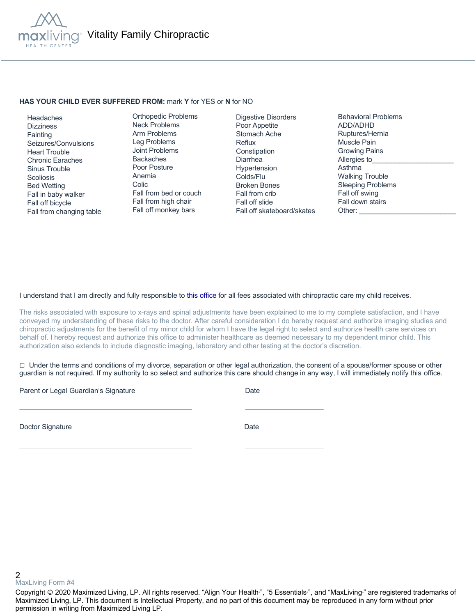

#### **HAS YOUR CHILD EVER SUFFERED FROM:** mark **Y** for YES or **N** for NO

 Headaches **Dizziness Fainting**  Seizures/Convulsions Heart Trouble Chronic Earaches Sinus Trouble **Scoliosis**  Bed Wetting Fall in baby walker Fall off bicycle Fall from changing table

Orthopedic Problems Neck Problems Arm Problems Leg Problems Joint Problems Backaches Poor Posture Anemia Colic Fall from bed or couch Fall from high chair Fall off monkey bars

Digestive Disorders Poor Appetite Stomach Ache Reflux **Constipation** Diarrhea Hypertension Colds/Flu Broken Bones Fall from crib Fall off slide Fall off skateboard/skates Behavioral Problems ADD/ADHD Ruptures/Hernia Muscle Pain Growing Pains Allergies to Asthma Walking Trouble Sleeping Problems Fall off swing Fall down stairs Other:

### I understand that I am directly and fully responsible to this office for all fees associated with chiropractic care my child receives.

The risks associated with exposure to x-rays and spinal adjustments have been explained to me to my complete satisfaction, and I have conveyed my understanding of these risks to the doctor. After careful consideration I do hereby request and authorize imaging studies and chiropractic adjustments for the benefit of my minor child for whom I have the legal right to select and authorize health care services on behalf of. I hereby request and authorize this office to administer healthcare as deemed necessary to my dependent minor child. This authorization also extends to include diagnostic imaging, laboratory and other testing at the doctor's discretion.

 $\Box$  Under the terms and conditions of my divorce, separation or other legal authorization, the consent of a spouse/former spouse or other guardian is not required. If my authority to so select and authorize this care should change in any way, I will immediately notify this office.

Parent or Legal Guardian's Signature Date Date

Doctor Signature Date

2 MaxLiving Form #4

Copyright © 2020 Maximized Living, LP. All rights reserved. "Align Your Health<sub>"</sub>, "5 Essentials<sub>"</sub>, and "MaxLiving<sub>"</sub> are registered trademarks of Maximized Living, LP. This document is Intellectual Property, and no part of this document may be reproduced in any form without prior permission in writing from Maximized Living LP.